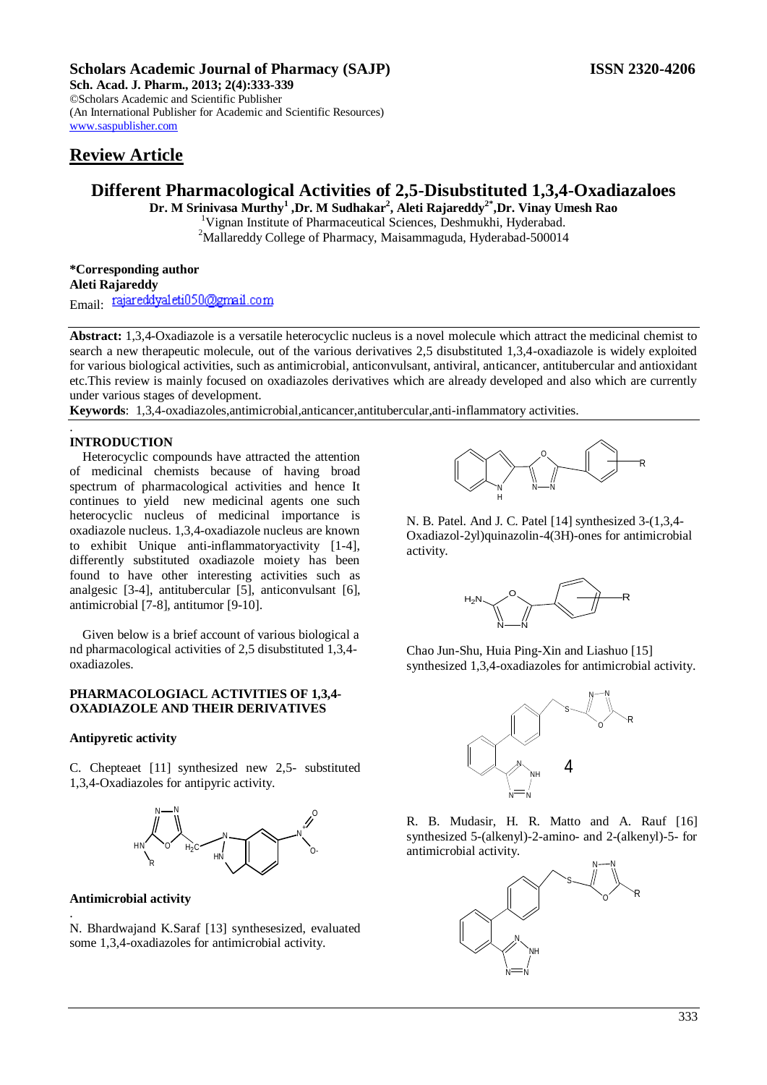## **Scholars Academic Journal of Pharmacy (SAJP) ISSN 2320-4206**

**Sch. Acad. J. Pharm., 2013; 2(4):333-339** ©Scholars Academic and Scientific Publisher (An International Publisher for Academic and Scientific Resources) [www.saspublisher.com](http://www.saspublisher.com/) 

# **Review Article**

# **Different Pharmacological Activities of 2,5-Disubstituted 1,3,4-Oxadiazaloes**

**Dr. M Srinivasa Murthy<sup>1</sup> ,Dr. M Sudhakar<sup>2</sup> , Aleti Rajareddy2\*,Dr. Vinay Umesh Rao** <sup>1</sup>Vignan Institute of Pharmaceutical Sciences, Deshmukhi, Hyderabad. <sup>2</sup>Mallareddy College of Pharmacy, Maisammaguda, Hyderabad-500014

**\*Corresponding author Aleti Rajareddy** Email: rajareddyaleti050@gmail.com

**Abstract:** 1,3,4-Oxadiazole is a versatile heterocyclic nucleus is a novel molecule which attract the medicinal chemist to search a new therapeutic molecule, out of the various derivatives 2,5 disubstituted 1,3,4-oxadiazole is widely exploited for various biological activities, such as antimicrobial, anticonvulsant, antiviral, anticancer, antitubercular and antioxidant etc.This review is mainly focused on oxadiazoles derivatives which are already developed and also which are currently under various stages of development.

**Keywords**: 1,3,4-oxadiazoles,antimicrobial,anticancer,antitubercular,anti-inflammatory activities.

## **INTRODUCTION**

.

Heterocyclic compounds have attracted the attention of medicinal chemists because of having broad spectrum of pharmacological activities and hence It continues to yield new medicinal agents one such heterocyclic nucleus of medicinal importance is oxadiazole nucleus. 1,3,4-oxadiazole nucleus are known to exhibit Unique anti-inflammatoryactivity [1-4], differently substituted oxadiazole moiety has been found to have other interesting activities such as analgesic [3-4], antitubercular [5], anticonvulsant [6], antimicrobial [7-8], antitumor [9-10].

Given below is a brief account of various biological a nd pharmacological activities of 2,5 disubstituted 1,3,4 oxadiazoles.

### **PHARMACOLOGIACL ACTIVITIES OF 1,3,4- OXADIAZOLE AND THEIR DERIVATIVES**

### **Antipyretic activity**

C. Chepteaet [11] synthesized new 2,5- substituted 1,3,4-Oxadiazoles for antipyric activity.



#### **Antimicrobial activity**

.

N. Bhardwajand K.Saraf [13] synthesesized, evaluated some 1,3,4-oxadiazoles for antimicrobial activity.



N. B. Patel. And J. C. Patel [14] synthesized 3-(1,3,4- Oxadiazol-2yl)quinazolin-4(3H)-ones for antimicrobial activity.



Chao Jun-Shu, Huia Ping-Xin and Liashuo [15] synthesized 1,3,4-oxadiazoles for antimicrobial activity.



R. B. Mudasir, H. R. Matto and A. Rauf [16] synthesized 5-(alkenyl)-2-amino- and 2-(alkenyl)-5- for antimicrobial activity.

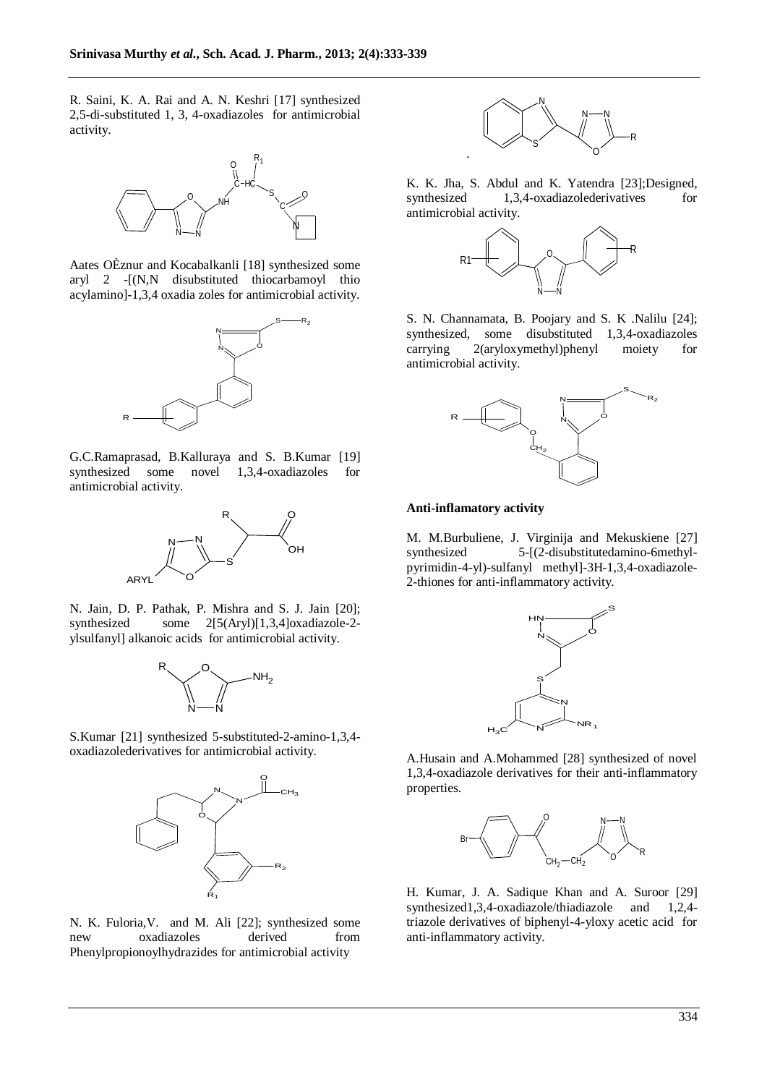R. Saini, K. A. Rai and A. N. Keshri [17] synthesized 2,5-di-substituted 1, 3, 4-oxadiazoles for antimicrobial activity.



Aates OÈznur and Kocabalkanli [18] synthesized some aryl 2 -[(N,N disubstituted thiocarbamoyl thio acylamino]-1,3,4 oxadia zoles for antimicrobial activity.



G.C.Ramaprasad, B.Kalluraya and S. B.Kumar [19] synthesized some novel 1,3,4-oxadiazoles for antimicrobial activity.



N. Jain, D. P. Pathak, P. Mishra and S. J. Jain [20]; synthesized some 2[5(Aryl)[1,3,4]oxadiazole-2 ylsulfanyl] alkanoic acids for antimicrobial activity.



S.Kumar [21] synthesized 5-substituted-2-amino-1,3,4 oxadiazolederivatives for antimicrobial activity.



N. K. Fuloria,V. and M. Ali [22]; synthesized some new oxadiazoles derived from Phenylpropionoylhydrazides for antimicrobial activity



K. K. Jha, S. Abdul and K. Yatendra [23];Designed, synthesized 1,3,4-oxadiazolederivatives for antimicrobial activity.



S. N. Channamata, B. Poojary and S. K .Nalilu [24]; synthesized, some disubstituted 1,3,4-oxadiazoles carrying 2(aryloxymethyl)phenyl moiety for antimicrobial activity.



#### **Anti-inflamatory activity**

M. M.Burbuliene, J. Virginija and Mekuskiene [27] synthesized 5-[(2-disubstitutedamino-6methylpyrimidin-4-yl)-sulfanyl methyl]-3H-1,3,4-oxadiazole-2-thiones for anti-inflammatory activity.



A.Husain and A.Mohammed [28] synthesized of novel 1,3,4-oxadiazole derivatives for their anti-inflammatory properties.



H. Kumar, J. A. Sadique Khan and A. Suroor [29] synthesized1,3,4-oxadiazole/thiadiazole and 1,2,4 triazole derivatives of biphenyl-4-yloxy acetic acid for anti-inflammatory activity.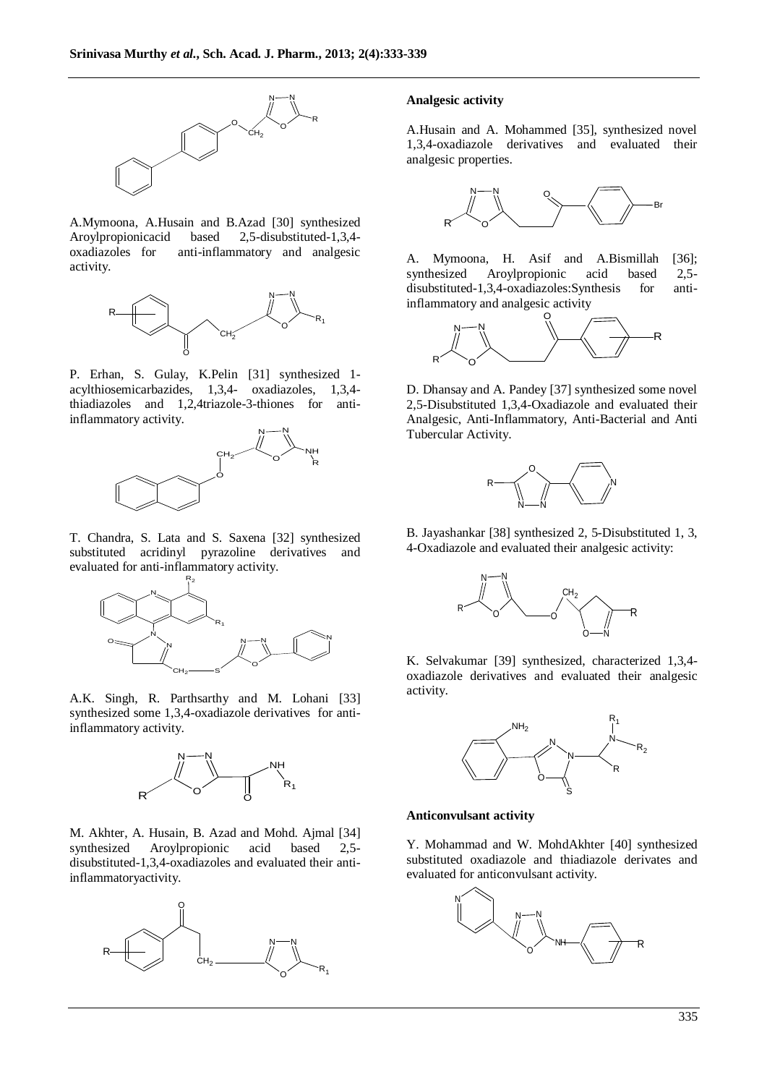

A.Mymoona, A.Husain and B.Azad [30] synthesized Aroylpropionicacid based 2,5-disubstituted-1,3,4 oxadiazoles for anti-inflammatory and analgesic activity.



P. Erhan, S. Gulay, K.Pelin [31] synthesized 1 acylthiosemicarbazides, 1,3,4- oxadiazoles, 1,3,4 thiadiazoles and 1,2,4triazole-3-thiones for antiinflammatory activity.



T. Chandra, S. Lata and S. Saxena [32] synthesized substituted acridinyl pyrazoline derivatives and evaluated for anti-inflammatory activity.



A.K. Singh, R. Parthsarthy and M. Lohani [33] synthesized some 1,3,4-oxadiazole derivatives for antiinflammatory activity.



M. Akhter, A. Husain, B. Azad and Mohd. Ajmal [34] synthesized Aroylpropionic acid based 2,5 disubstituted-1,3,4-oxadiazoles and evaluated their antiinflammatoryactivity.



#### **Analgesic activity**

A.Husain and A. Mohammed [35], synthesized novel 1,3,4-oxadiazole derivatives and evaluated their analgesic properties.



A. Mymoona, H. Asif and A.Bismillah [36]; synthesized Aroylpropionic acid based 2,5 disubstituted-1,3,4-oxadiazoles:Synthesis for antiinflammatory and analgesic activity



D. Dhansay and A. Pandey [37] synthesized some novel 2,5-Disubstituted 1,3,4-Oxadiazole and evaluated their Analgesic, Anti-Inflammatory, Anti-Bacterial and Anti Tubercular Activity.



B. Jayashankar [38] synthesized 2, 5-Disubstituted 1, 3, 4-Oxadiazole and evaluated their analgesic activity:



K. Selvakumar [39] synthesized, characterized 1,3,4 oxadiazole derivatives and evaluated their analgesic activity.



#### **Anticonvulsant activity**

Y. Mohammad and W. MohdAkhter [40] synthesized substituted oxadiazole and thiadiazole derivates and evaluated for anticonvulsant activity.

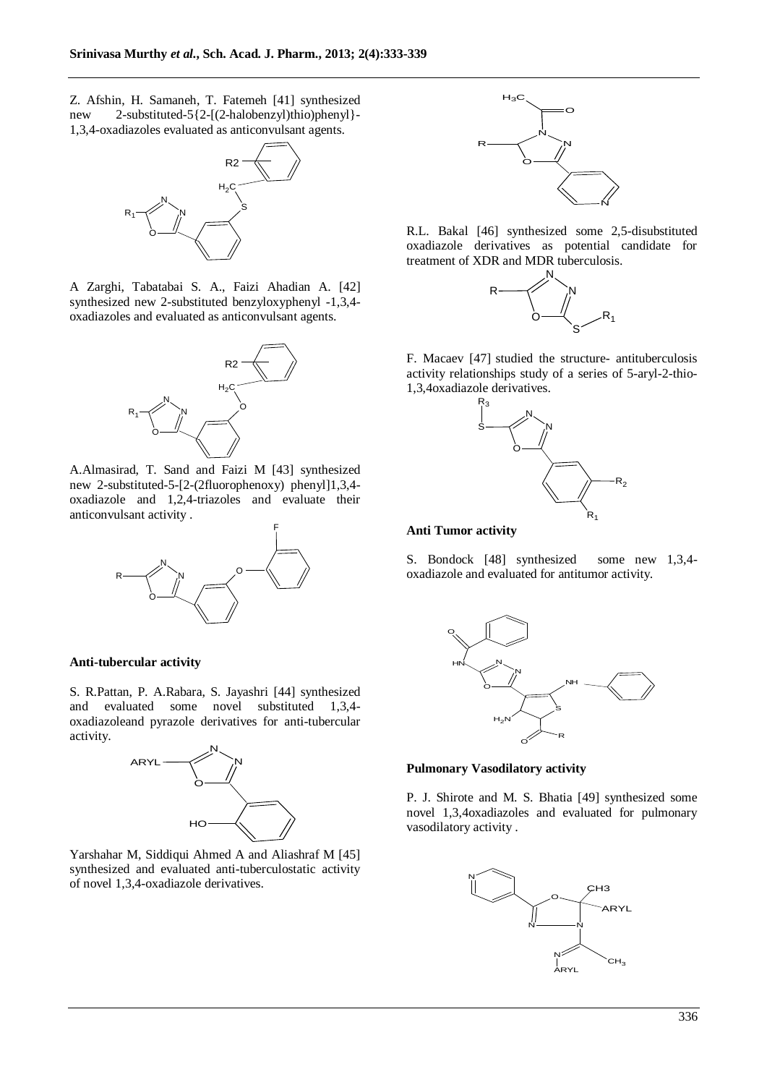Z. Afshin, H. Samaneh, T. Fatemeh [41] synthesized new 2-substituted-5{2-[(2-halobenzyl)thio)phenyl}- 1,3,4-oxadiazoles evaluated as anticonvulsant agents.



A Zarghi, Tabatabai S. A., Faizi Ahadian A. [42] synthesized new 2-substituted benzyloxyphenyl -1,3,4 oxadiazoles and evaluated as anticonvulsant agents.



A.Almasirad, T. Sand and Faizi M [43] synthesized new 2-substituted-5-[2-(2fluorophenoxy) phenyl]1,3,4 oxadiazole and 1,2,4-triazoles and evaluate their anticonvulsant activity .



### **Anti-tubercular activity**

S. R.Pattan, P. A.Rabara, S. Jayashri [44] synthesized and evaluated some novel substituted 1,3,4 oxadiazoleand pyrazole derivatives for anti-tubercular activity.



Yarshahar M, Siddiqui Ahmed A and Aliashraf M [45] synthesized and evaluated anti-tuberculostatic activity of novel 1,3,4-oxadiazole derivatives.



R.L. Bakal [46] synthesized some 2,5-disubstituted oxadiazole derivatives as potential candidate for treatment of XDR and MDR tuberculosis.



F. Macaev [47] studied the structure- antituberculosis activity relationships study of a series of 5-aryl-2-thio-1,3,4oxadiazole derivatives.



### **Anti Tumor activity**

S. Bondock [48] synthesized some new 1,3,4 oxadiazole and evaluated for antitumor activity.



#### **Pulmonary Vasodilatory activity**

P. J. Shirote and M. S. Bhatia [49] synthesized some novel 1,3,4oxadiazoles and evaluated for pulmonary vasodilatory activity .

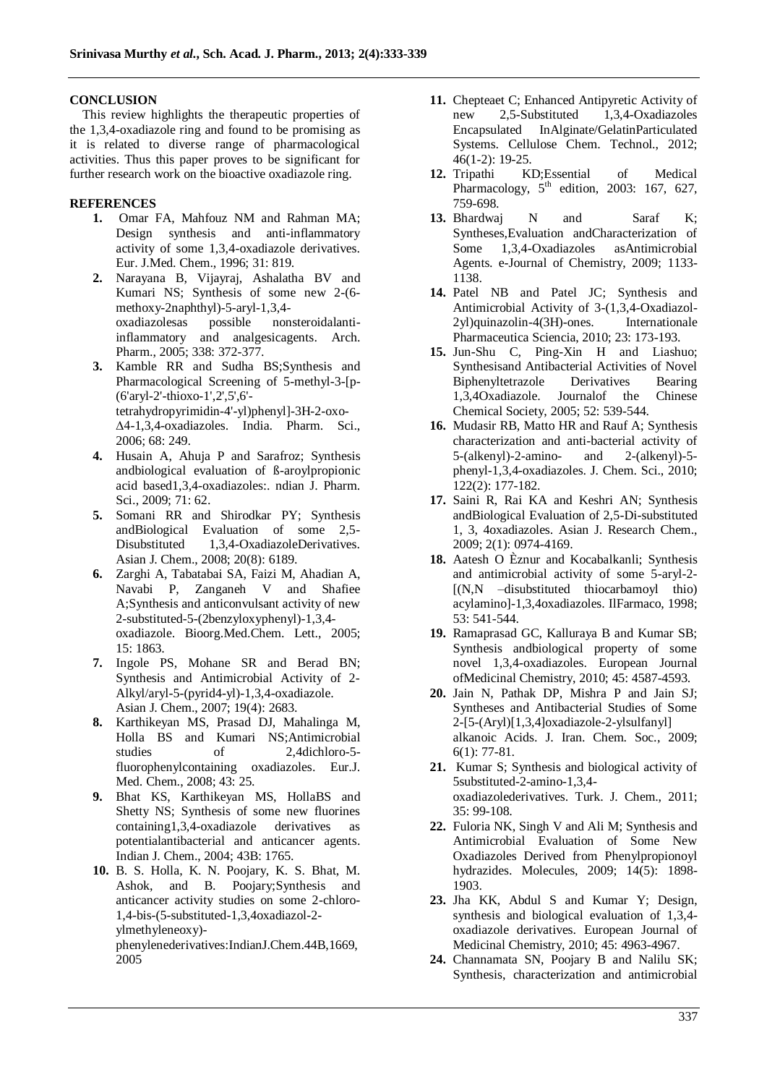## **CONCLUSION**

This review highlights the therapeutic properties of the 1,3,4-oxadiazole ring and found to be promising as it is related to diverse range of pharmacological activities. Thus this paper proves to be significant for further research work on the bioactive oxadiazole ring.

## **REFERENCES**

- **1.** Omar FA, Mahfouz NM and Rahman MA; Design synthesis and anti-inflammatory activity of some 1,3,4-oxadiazole derivatives. Eur. J.Med. Chem., 1996; 31: 819.
- **2.** Narayana B, Vijayraj, Ashalatha BV and Kumari NS; Synthesis of some new 2-(6 methoxy-2naphthyl)-5-aryl-1,3,4 oxadiazolesas possible nonsteroidalantiinflammatory and analgesicagents. Arch. Pharm., 2005; 338: 372-377.
- **3.** Kamble RR and Sudha BS;Synthesis and Pharmacological Screening of 5-methyl-3-[p- (6'aryl-2'-thioxo-1',2',5',6' tetrahydropyrimidin-4'-yl)phenyl]-3H-2-oxo- ∆4-1,3,4-oxadiazoles. India. Pharm. Sci., 2006; 68: 249.
- **4.** Husain A, Ahuja P and Sarafroz; Synthesis andbiological evaluation of ß-aroylpropionic acid based1,3,4-oxadiazoles:. ndian J. Pharm. Sci., 2009; 71: 62.
- **5.** Somani RR and Shirodkar PY; Synthesis andBiological Evaluation of some 2,5- Disubstituted 1,3,4-OxadiazoleDerivatives. Asian J. Chem., 2008; 20(8): 6189.
- **6.** Zarghi A, Tabatabai SA, Faizi M, Ahadian A, Navabi P, Zanganeh V and Shafiee A;Synthesis and anticonvulsant activity of new 2-substituted-5-(2benzyloxyphenyl)-1,3,4 oxadiazole. Bioorg.Med.Chem. Lett., 2005; 15: 1863.
- **7.** Ingole PS, Mohane SR and Berad BN; Synthesis and Antimicrobial Activity of 2- Alkyl/aryl-5-(pyrid4-yl)-1,3,4-oxadiazole. Asian J. Chem., 2007; 19(4): 2683.
- **8.** Karthikeyan MS, Prasad DJ, Mahalinga M, Holla BS and Kumari NS;Antimicrobial studies of 2,4dichloro-5 fluorophenylcontaining oxadiazoles. Eur.J. Med. Chem., 2008; 43: 25.
- **9.** Bhat KS, Karthikeyan MS, HollaBS and Shetty NS; Synthesis of some new fluorines containing1,3,4-oxadiazole derivatives as potentialantibacterial and anticancer agents. Indian J. Chem., 2004; 43B: 1765.
- **10.** B. S. Holla, K. N. Poojary, K. S. Bhat, M. Ashok, and B. Poojary;Synthesis and anticancer activity studies on some 2-chloro-1,4-bis-(5-substituted-1,3,4oxadiazol-2 ylmethyleneoxy) phenylenederivatives:IndianJ.Chem.44B,1669, 2005
- **11.** Chepteaet C; Enhanced Antipyretic Activity of new 2,5-Substituted 1,3,4-Oxadiazoles Encapsulated InAlginate/GelatinParticulated Systems. Cellulose Chem. Technol., 2012; 46(1-2): 19-25.
- **12.** Tripathi KD;Essential of Medical Pharmacology,  $5<sup>th</sup>$  edition, 2003: 167, 627, 759-698.
- 13. Bhardwaj N and Saraf K; Syntheses,Evaluation andCharacterization of Some 1,3,4-Oxadiazoles asAntimicrobial Agents. e-Journal of Chemistry, 2009; 1133- 1138.
- **14.** Patel NB and Patel JC; Synthesis and Antimicrobial Activity of 3-(1,3,4-Oxadiazol-2yl)quinazolin-4(3H)-ones. Internationale Pharmaceutica Sciencia, 2010; 23: 173-193.
- **15.** Jun-Shu C, Ping-Xin H and Liashuo; Synthesisand Antibacterial Activities of Novel Biphenyltetrazole Derivatives Bearing 1,3,4Oxadiazole. Journalof the Chinese Chemical Society, 2005; 52: 539-544.
- **16.** Mudasir RB, Matto HR and Rauf A; Synthesis characterization and anti-bacterial activity of 5-(alkenyl)-2-amino- and 2-(alkenyl)-5 phenyl-1,3,4-oxadiazoles. J. Chem. Sci., 2010; 122(2): 177-182.
- **17.** Saini R, Rai KA and Keshri AN; Synthesis andBiological Evaluation of 2,5-Di-substituted 1, 3, 4oxadiazoles. Asian J. Research Chem., 2009; 2(1): 0974-4169.
- **18.** Aatesh O Èznur and Kocabalkanli; Synthesis and antimicrobial activity of some 5-aryl-2- [(N,N –disubstituted thiocarbamoyl thio) acylamino]-1,3,4oxadiazoles. IlFarmaco, 1998; 53: 541-544.
- **19.** Ramaprasad GC, Kalluraya B and Kumar SB; Synthesis andbiological property of some novel 1,3,4-oxadiazoles. European Journal ofMedicinal Chemistry, 2010; 45: 4587-4593.
- **20.** Jain N, Pathak DP, Mishra P and Jain SJ; Syntheses and Antibacterial Studies of Some 2-[5-(Aryl)[1,3,4]oxadiazole-2-ylsulfanyl] alkanoic Acids. J. Iran. Chem. Soc., 2009; 6(1): 77-81.
- **21.** Kumar S; Synthesis and biological activity of 5substituted-2-amino-1,3,4 oxadiazolederivatives. Turk. J. Chem., 2011; 35: 99-108.
- **22.** Fuloria NK, Singh V and Ali M; Synthesis and Antimicrobial Evaluation of Some New Oxadiazoles Derived from Phenylpropionoyl hydrazides. Molecules, 2009; 14(5): 1898- 1903.
- **23.** Jha KK, Abdul S and Kumar Y; Design, synthesis and biological evaluation of 1,3,4 oxadiazole derivatives. European Journal of Medicinal Chemistry, 2010; 45: 4963-4967.
- **24.** Channamata SN, Poojary B and Nalilu SK; Synthesis, characterization and antimicrobial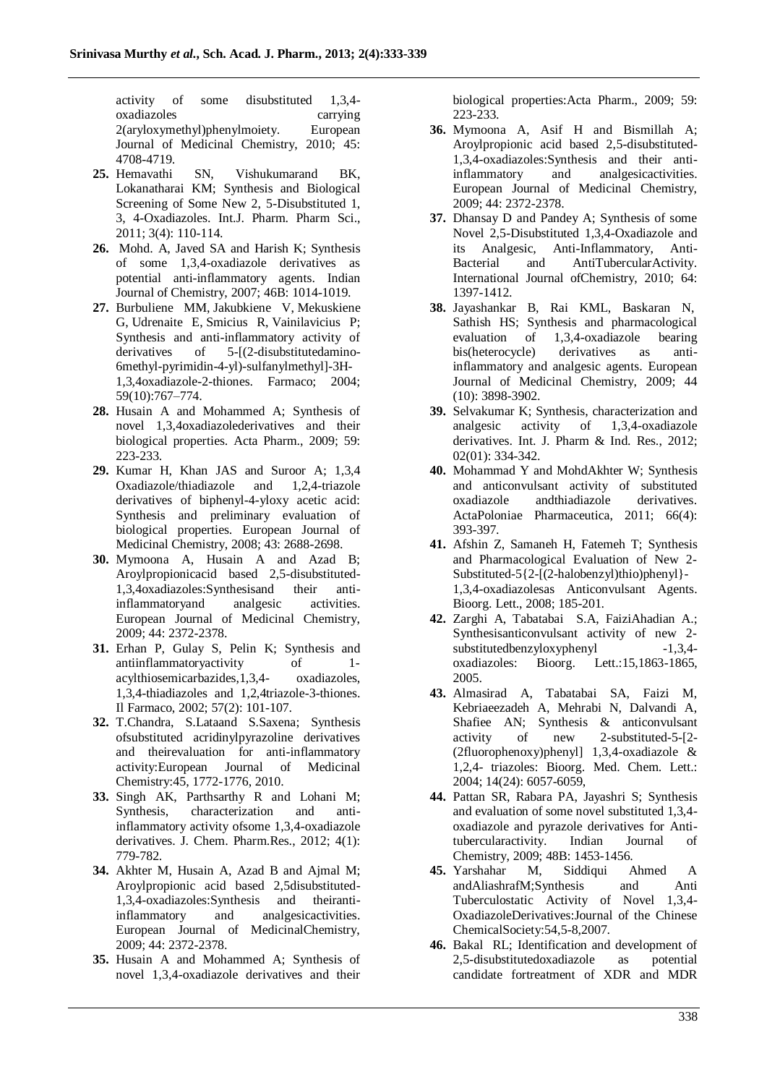activity of some disubstituted 1,3,4 oxadiazoles carrying 2(aryloxymethyl)phenylmoiety. European Journal of Medicinal Chemistry, 2010; 45: 4708-4719.

- **25.** Hemavathi SN, Vishukumarand BK, Lokanatharai KM; Synthesis and Biological Screening of Some New 2, 5-Disubstituted 1, 3, 4-Oxadiazoles. Int.J. Pharm. Pharm Sci., 2011; 3(4): 110-114.
- **26.** Mohd. A, Javed SA and Harish K; Synthesis of some 1,3,4-oxadiazole derivatives as potential anti-inflammatory agents. Indian Journal of Chemistry, 2007; 46B: 1014-1019.
- **27.** [Burbuliene MM,](http://www.ncbi.nlm.nih.gov/pubmed?term=Burbuliene%20MM%5BAuthor%5D&cauthor=true&cauthor_uid=15474053) [Jakubkiene V,](http://www.ncbi.nlm.nih.gov/pubmed?term=Jakubkiene%20V%5BAuthor%5D&cauthor=true&cauthor_uid=15474053) [Mekuskiene](http://www.ncbi.nlm.nih.gov/pubmed?term=Mekuskiene%20G%5BAuthor%5D&cauthor=true&cauthor_uid=15474053)  [G,](http://www.ncbi.nlm.nih.gov/pubmed?term=Mekuskiene%20G%5BAuthor%5D&cauthor=true&cauthor_uid=15474053) [Udrenaite E,](http://www.ncbi.nlm.nih.gov/pubmed?term=Udrenaite%20E%5BAuthor%5D&cauthor=true&cauthor_uid=15474053) [Smicius R,](http://www.ncbi.nlm.nih.gov/pubmed?term=Smicius%20R%5BAuthor%5D&cauthor=true&cauthor_uid=15474053) [Vainilavicius P;](http://www.ncbi.nlm.nih.gov/pubmed?term=Vainilavicius%20P%5BAuthor%5D&cauthor=true&cauthor_uid=15474053) Synthesis and anti-inflammatory activity of<br>derivatives of 5-I(2-disubstitutedaminoderivatives of 5-[(2-disubstitutedamino-6methyl-pyrimidin-4-yl)-sulfanylmethyl]-3H-1,3,4oxadiazole-2-thiones. Farmaco; 2004; 59(10):767–774.
- **28.** Husain A and Mohammed A; Synthesis of novel 1,3,4oxadiazolederivatives and their biological properties. Acta Pharm., 2009; 59: 223-233.
- **29.** Kumar H, Khan JAS and Suroor A; 1,3,4 Oxadiazole/thiadiazole and derivatives of biphenyl-4-yloxy acetic acid: Synthesis and preliminary evaluation of biological properties. European Journal of Medicinal Chemistry, 2008; 43: 2688-2698.
- **30.** Mymoona A, Husain A and Azad B; Aroylpropionicacid based 2,5-disubstituted-1,3,4oxadiazoles:Synthesisand their antiinflammatoryand analgesic activities. European Journal of Medicinal Chemistry, 2009; 44: 2372-2378.
- **31.** Erhan P, Gulay S, Pelin K; Synthesis and antiinflammatoryactivity of 1 acylthiosemicarbazides,1,3,4- oxadiazoles, 1,3,4-thiadiazoles and 1,2,4triazole-3-thiones. Il Farmaco, 2002; 57(2): 101-107.
- **32.** T.Chandra, S.Lataand S.Saxena; Synthesis ofsubstituted acridinylpyrazoline derivatives and theirevaluation for anti-inflammatory activity:European Journal of Medicinal Chemistry:45, 1772-1776, 2010.
- **33.** Singh AK, Parthsarthy R and Lohani M; Synthesis, characterization and antiinflammatory activity ofsome 1,3,4-oxadiazole derivatives. J. Chem. Pharm.Res., 2012; 4(1): 779-782.
- **34.** Akhter M, Husain A, Azad B and Ajmal M; Aroylpropionic acid based 2,5disubstituted-1,3,4-oxadiazoles:Synthesis and theirantiinflammatory and analgesicactivities. European Journal of MedicinalChemistry, 2009; 44: 2372-2378.
- **35.** Husain A and Mohammed A; Synthesis of novel 1,3,4-oxadiazole derivatives and their

biological properties:Acta Pharm., 2009; 59: 223-233.

- **36.** Mymoona A, Asif H and Bismillah A; Aroylpropionic acid based 2,5-disubstituted-1,3,4-oxadiazoles:Synthesis and their antiinflammatory and analgesicactivities. European Journal of Medicinal Chemistry, 2009; 44: 2372-2378.
- **37.** Dhansay D and Pandey A; Synthesis of some Novel 2,5-Disubstituted 1,3,4-Oxadiazole and its Analgesic, Anti-Inflammatory, Anti-Bacterial and AntiTubercularActivity. International Journal ofChemistry, 2010; 64: 1397-1412.
- **38.** Jayashankar B, [Rai](http://www.sciencedirect.com/science/article/pii/S022352340900213X) KML, [Baskaran](http://www.sciencedirect.com/science/article/pii/S022352340900213X) N, [Sathish](http://www.sciencedirect.com/science/article/pii/S022352340900213X) HS; Synthesis and pharmacological evaluation of 1,3,4-oxadiazole bearing bis(heterocycle) derivatives as antiinflammatory and analgesic agents. European Journal of Medicinal Chemistry, 2009; 44 (10): 3898-3902.
- **39.** Selvakumar K; Synthesis, characterization and analgesic activity of 1,3,4-oxadiazole derivatives. Int. J. Pharm & Ind. Res., 2012; 02(01): 334-342.
- **40.** Mohammad Y and MohdAkhter W; Synthesis and anticonvulsant activity of substituted oxadiazole andthiadiazole derivatives. ActaPoloniae Pharmaceutica, 2011; 66(4): 393-397.
- **41.** Afshin Z, Samaneh H, Fatemeh T; Synthesis and Pharmacological Evaluation of New 2- Substituted-5{2-[(2-halobenzyl)thio)phenyl}- 1,3,4-oxadiazolesas Anticonvulsant Agents. Bioorg. Lett., 2008; 185-201.
- **42.** Zarghi A, Tabatabai S.A, FaiziAhadian A.; Synthesisanticonvulsant activity of new 2 substitutedbenzyloxyphenyl -1,3,4 oxadiazoles: Bioorg. Lett.:15,1863-1865, 2005.
- **43.** Almasirad A, Tabatabai SA, Faizi M, Kebriaeezadeh A, Mehrabi N, Dalvandi A, Shafiee AN; Synthesis & anticonvulsant activity of new 2-substituted-5-[2- (2fluorophenoxy)phenyl] 1,3,4-oxadiazole & 1,2,4- triazoles: Bioorg. Med. Chem. Lett.: 2004; 14(24): 6057-6059,
- **44.** Pattan SR, Rabara PA, Jayashri S; Synthesis and evaluation of some novel substituted 1,3,4 oxadiazole and pyrazole derivatives for Antitubercularactivity. Indian Journal of Chemistry, 2009; 48B: 1453-1456.
- **45.** Yarshahar M, Siddiqui Ahmed A andAliashrafM;Synthesis and Anti Tuberculostatic Activity of Novel 1,3,4- OxadiazoleDerivatives:Journal of the Chinese ChemicalSociety:54,5-8,2007.
- **46.** Bakal RL; Identification and development of 2,5-disubstitutedoxadiazole as potential candidate fortreatment of XDR and MDR